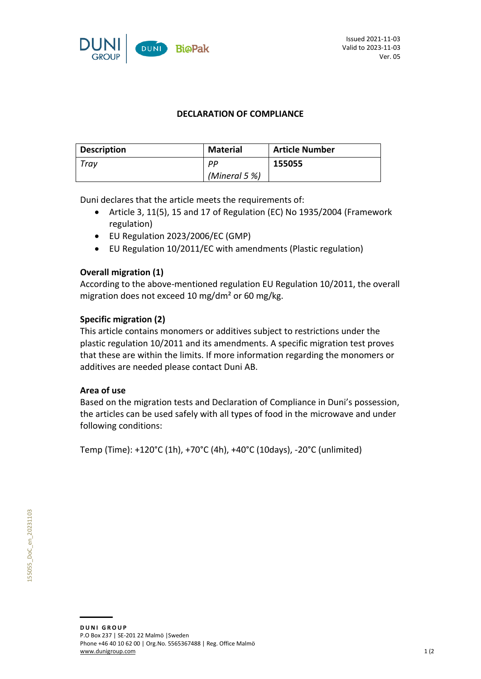

## **DECLARATION OF COMPLIANCE**

| <b>Description</b> | <b>Material</b>  | <b>Article Number</b> |
|--------------------|------------------|-----------------------|
| Trav               | PP               | 155055                |
|                    | (Mineral 5 $%$ ) |                       |

Duni declares that the article meets the requirements of:

- Article 3, 11(5), 15 and 17 of Regulation (EC) No 1935/2004 (Framework regulation)
- EU Regulation 2023/2006/EC (GMP)
- EU Regulation 10/2011/EC with amendments (Plastic regulation)

### **Overall migration (1)**

According to the above-mentioned regulation EU Regulation 10/2011, the overall migration does not exceed 10 mg/dm² or 60 mg/kg.

### **Specific migration (2)**

This article contains monomers or additives subject to restrictions under the plastic regulation 10/2011 and its amendments. A specific migration test proves that these are within the limits. If more information regarding the monomers or additives are needed please contact Duni AB.

#### **Area of use**

Based on the migration tests and Declaration of Compliance in Duni's possession, the articles can be used safely with all types of food in the microwave and under following conditions:

Temp (Time): +120°C (1h), +70°C (4h), +40°C (10days), -20°C (unlimited)